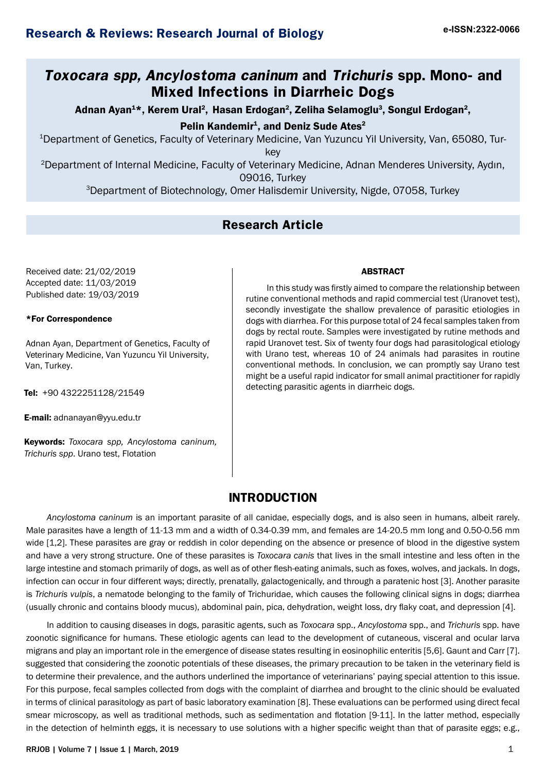# **Toxocara spp, Ancylostoma caninum and Trichuris spp. Mono- and Mixed Infections in Diarrheic Dogs**

Adnan Ayan<sup>1\*</sup>, Kerem Ural<sup>2</sup>, Hasan Erdogan<sup>2</sup>, Zeliha Selamoglu<sup>3</sup>, Songul Erdogan<sup>2</sup>,

Pelin Kandemir<sup>1</sup>, and Deniz Sude Ates<sup>2</sup>

1 Department of Genetics, Faculty of Veterinary Medicine, Van Yuzuncu Yil University, Van, 65080, Tur-

key

<sup>2</sup>Department of Internal Medicine, Faculty of Veterinary Medicine, Adnan Menderes University, Aydın, 09016, Turkey

3Department of Biotechnology, Omer Halisdemir University, Nigde, 07058, Turkey

# **Research Article**

Received date: 21/02/2019 Accepted date: 11/03/2019 Published date: 19/03/2019

### \*For Correspondence

Adnan Ayan, Department of Genetics, Faculty of Veterinary Medicine, Van Yuzuncu Yil University, Van, Turkey.

Tel: +90 4322251128/21549

E-mail: adnanayan@yyu.edu.tr

Keywords: *[Toxocara spp, Ancy](mailto:adnanayan@yyu.edu.tr)lostoma caninum, Trichuris spp*. Urano test, Flotation

### ABSTRACT

In this study was firstly aimed to compare the relationship between rutine conventional methods and rapid commercial test (Uranovet test), secondly investigate the shallow prevalence of parasitic etiologies in dogs with diarrhea. For this purpose total of 24 fecal samples taken from dogs by rectal route. Samples were investigated by rutine methods and rapid Uranovet test. Six of twenty four dogs had parasitological etiology with Urano test, whereas 10 of 24 animals had parasites in routine conventional methods. In conclusion, we can promptly say Urano test might be a useful rapid indicator for small animal practitioner for rapidly detecting parasitic agents in diarrheic dogs.

# **INTRODUCTION**

*Ancylostoma caninum* is an important parasite of all canidae, especially dogs, and is also seen in humans, albeit rarely. Male parasites have a length of 11-13 mm and a width of 0.34-0.39 mm, and females are 14-20.5 mm long and 0.50-0.56 mm wide [1,2]. These parasites are gray or reddish in color depending on the absence or presence of blood in the digestive system and have a very strong structure. One of these parasites is *Toxocara canis* that lives in the small intestine and less often in the large intestine and stomach primarily of dogs, as well as of other flesh-eating animals, such as foxes, wolves, and jackals. In dogs, infection can occur in four different ways; directly, prenatally, galactogenically, and through a paratenic host [3]. Another parasite is *Trichuris vulpis*, a nematode belonging to the family of Trichuridae, which causes the following clinical signs in dogs; diarrhea (usually chronic and contains bloody mucus), abdominal pain, pica, dehydration, weight loss, dry flaky coat, and depression [4].

In addition to causing diseases in dogs, parasitic agents, such as *Toxocara* spp., *Ancylostoma* spp., and *Trichuris* spp. have zoonotic significance for humans. These etiologic agents can lead to the development of cutaneous, visceral and ocular larva migrans and play an important role in the emergence of disease states resulting in eosinophilic enteritis [5,6]. Gaunt and Carr [7]. suggested that considering the zoonotic potentials of these diseases, the primary precaution to be taken in the veterinary field is to determine their prevalence, and the authors underlined the importance of veterinarians' paying special attention to this issue. For this purpose, fecal samples collected from dogs with the complaint of diarrhea and brought to the clinic should be evaluated in terms of clinical parasitology as part of basic laboratory examination [8]. These evaluations can be performed using direct fecal smear microscopy, as well as traditional methods, such as sedimentation and flotation [9-11]. In the latter method, especially in the detection of helminth eggs, it is necessary to use solutions with a higher specific weight than that of parasite eggs; e.g.,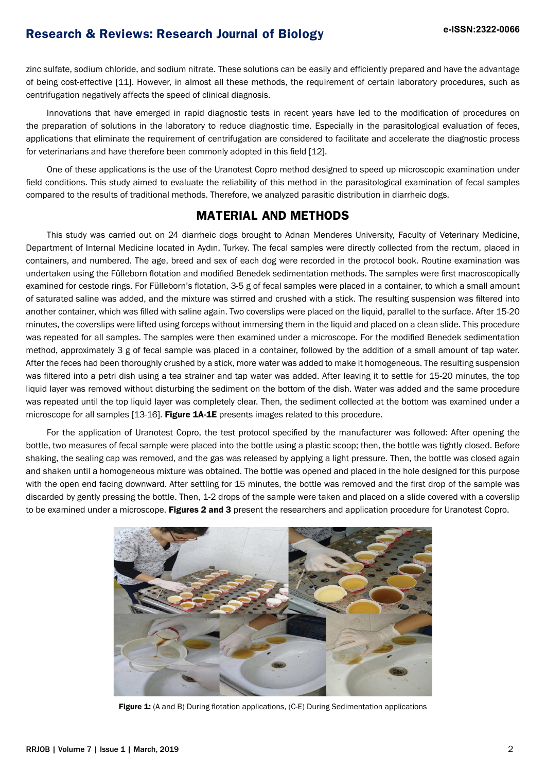# **e-ISSN:2322-0066 Research & Reviews: Research Journal of Biology**

zinc sulfate, sodium chloride, and sodium nitrate. These solutions can be easily and efficiently prepared and have the advantage of being cost-effective [11]. However, in almost all these methods, the requirement of certain laboratory procedures, such as centrifugation negatively affects the speed of clinical diagnosis.

Innovations that have emerged in rapid diagnostic tests in recent years have led to the modification of procedures on the preparation of solutions in the laboratory to reduce diagnostic time. Especially in the parasitological evaluation of feces, applications that eliminate the requirement of centrifugation are considered to facilitate and accelerate the diagnostic process for veterinarians and have therefore been commonly adopted in this field [12].

One of these applications is the use of the Uranotest Copro method designed to speed up microscopic examination under field conditions. This study aimed to evaluate the reliability of this method in the parasitological examination of fecal samples compared to the results of traditional methods. Therefore, we analyzed parasitic distribution in diarrheic dogs.

### **MATERIAL AND METHODS**

This study was carried out on 24 diarrheic dogs brought to Adnan Menderes University, Faculty of Veterinary Medicine, Department of Internal Medicine located in Aydın, Turkey. The fecal samples were directly collected from the rectum, placed in containers, and numbered. The age, breed and sex of each dog were recorded in the protocol book. Routine examination was undertaken using the Fülleborn flotation and modified Benedek sedimentation methods. The samples were first macroscopically examined for cestode rings. For Fülleborn's flotation, 3-5 g of fecal samples were placed in a container, to which a small amount of saturated saline was added, and the mixture was stirred and crushed with a stick. The resulting suspension was filtered into another container, which was filled with saline again. Two coverslips were placed on the liquid, parallel to the surface. After 15-20 minutes, the coverslips were lifted using forceps without immersing them in the liquid and placed on a clean slide. This procedure was repeated for all samples. The samples were then examined under a microscope. For the modified Benedek sedimentation method, approximately 3 g of fecal sample was placed in a container, followed by the addition of a small amount of tap water. After the feces had been thoroughly crushed by a stick, more water was added to make it homogeneous. The resulting suspension was filtered into a petri dish using a tea strainer and tap water was added. After leaving it to settle for 15-20 minutes, the top liquid layer was removed without disturbing the sediment on the bottom of the dish. Water was added and the same procedure was repeated until the top liquid layer was completely clear. Then, the sediment collected at the bottom was examined under a microscope for all samples [13-16]. Figure 1A-1E presents images related to this procedure.

For the application of Uranotest Copro, the test protocol specified by the manufacturer was followed: After opening the bottle, two measures of fecal sample were placed into the bottle using a plastic scoop; then, the bottle was tightly closed. Before shaking, the sealing cap was removed, and the gas was released by applying a light pressure. Then, the bottle was closed again and shaken until a homogeneous mixture was obtained. The bottle was opened and placed in the hole designed for this purpose with the open end facing downward. After settling for 15 minutes, the bottle was removed and the first drop of the sample was discarded by gently pressing the bottle. Then, 1-2 drops of the sample were taken and placed on a slide covered with a coverslip to be examined under a microscope. Figures 2 and 3 present the researchers and application procedure for Uranotest Copro.



Figure 1: (A and B) During flotation applications, (C-E) During Sedimentation applications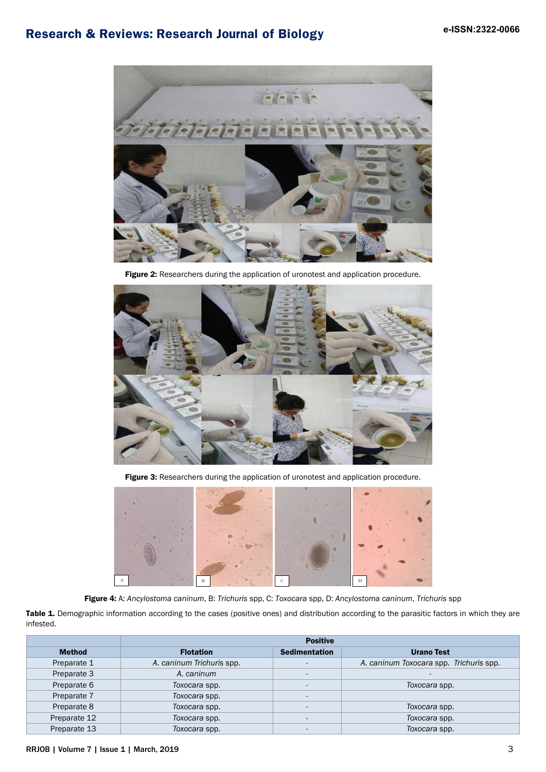# **e-ISSN:2322-0066 Research & Reviews: Research Journal of Biology**



Figure 2: Researchers during the application of uronotest and application procedure.



Figure 3: Researchers during the application of uronotest and application procedure.



Figure 4: A: *Ancylostoma caninum*, B: *Trichuris* spp, C: *Toxocara* spp, D: *Ancylostoma caninum*, *Trichuris* spp

Table 1. Demographic information according to the cases (positive ones) and distribution according to the parasitic factors in which they are infested.

|               | <b>Positive</b>           |                          |                                         |
|---------------|---------------------------|--------------------------|-----------------------------------------|
| <b>Method</b> | <b>Flotation</b>          | <b>Sedimentation</b>     | <b>Urano Test</b>                       |
| Preparate 1   | A. caninum Trichuris spp. | $\overline{a}$           | A. caninum Toxocara spp. Trichuris spp. |
| Preparate 3   | A. caninum                | $\overline{\phantom{a}}$ | $\sim$                                  |
| Preparate 6   | Toxocara spp.             | $\overline{a}$           | Toxocara spp.                           |
| Preparate 7   | Toxocara spp.             | $\overline{\phantom{0}}$ |                                         |
| Preparate 8   | Toxocara spp.             |                          | Toxocara spp.                           |
| Preparate 12  | Toxocara spp.             |                          | Toxocara spp.                           |
| Preparate 13  | Toxocara spp.             |                          | Toxocara spp.                           |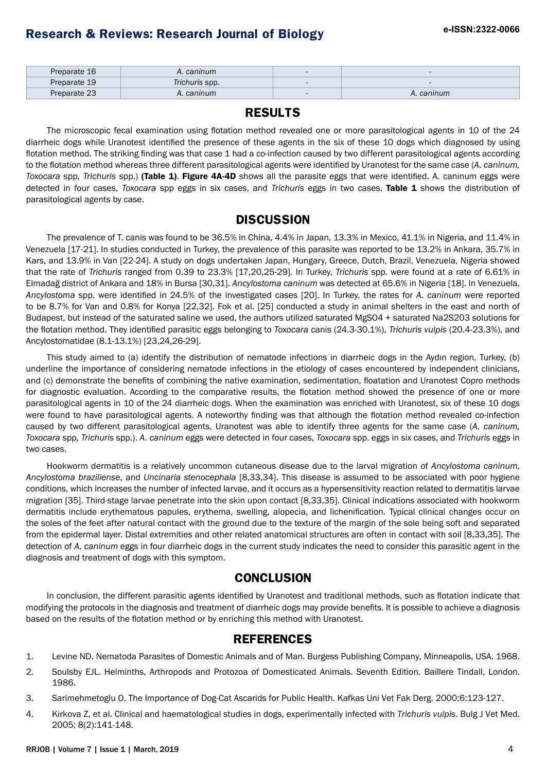| Preparate 16 | A. caninum     | $\overline{\phantom{a}}$ |            |
|--------------|----------------|--------------------------|------------|
| Preparate 19 | Trichuris spp. |                          |            |
| Preparate 23 | A. caninum     | $\overline{\phantom{0}}$ | A. caninum |

### **RESULTS**

The microscopic fecal examination using flotation method revealed one or more parasitological agents in 10 of the 24 diarrheic dogs while Uranotest identified the presence of these agents in the six of these 10 dogs which diagnosed by using flotation method. The striking finding was that case 1 had a co-infection caused by two different parasitological agents according to the flotation method whereas three different parasitological agents were identified by Uranotest for the same case (*A. caninum, Toxocara* spp*, Trichuris* spp.) (Table 1). Figure 4A-4D shows all the parasite eggs that were identified. A. caninum eggs were detected in four cases, *Toxocara* spp eggs in six cases, and *Trichuris* eggs in two cases. Table 1 shows the distribution of parasitological agents by case.

## **DISCUSSION**

The prevalence of T. canis was found to be 36.5% in China, 4.4% in Japan, 13.3% in Mexico, 41.1% in Nigeria, and 11.4% in Venezuela [17-21]. In studies conducted in Turkey, the prevalence of this parasite was reported to be 13.2% in Ankara, 35.7% in Kars, and 13.9% in Van [22-24]. A study on dogs undertaken Japan, Hungary, Greece, Dutch, Brazil, Venezuela, Nigeria showed that the rate of *Trichuris* ranged from 0.39 to 23.3% [17,20,25-29]. In Turkey, *Trichuris* spp. were found at a rate of 6.61% in Elmadağ district of Ankara and 18% in Bursa [30,31]. *Ancylostoma caninum* was detected at 65.6% in Nigeria [18]. In Venezuela, *Ancylostoma* spp. were identified in 24.5% of the investigated cases [20]. In Turkey, the rates for *A. caninum* were reported to be 8.7% for Van and 0.8% for Konya [22,32]. Fok et al. [25] conducted a study in animal shelters in the east and north of Budapest, but instead of the saturated saline we used, the authors utilized saturated MgSO4 + saturated Na2S203 solutions for the flotation method. They identified parasitic eggs belonging to *Toxocara* canis (24.3-30.1%), *Trichuris vulpis* (20.4-23.3%), and Ancylostomatidae (8.1-13.1%) [23,24,26-29].

This study aimed to (a) identify the distribution of nematode infections in diarrheic dogs in the Aydın region, Turkey, (b) underline the importance of considering nematode infections in the etiology of cases encountered by independent clinicians, and (c) demonstrate the benefits of combining the native examination, sedimentation, floatation and Uranotest Copro methods for diagnostic evaluation. According to the comparative results, the flotation method showed the presence of one or more parasitological agents in 10 of the 24 diarrheic dogs. When the examination was enriched with Uranotest, six of these 10 dogs were found to have parasitological agents. A noteworthy finding was that although the flotation method revealed co-infection caused by two different parasitological agents, Uranotest was able to identify three agents for the same case (*A. caninum, Toxocara* spp*, Trichuris* spp.). *A. caninum* eggs were detected in four cases, *Toxocara* spp. eggs in six cases, and *Trichuris* eggs in two cases.

Hookworm dermatitis is a relatively uncommon cutaneous disease due to the larval migration of *Ancylostoma caninum*, *Ancylostoma braziliense*, and *Uncinaria stenocephala* [8,33,34]. This disease is assumed to be associated with poor hygiene conditions, which increases the number of infected larvae, and it occurs as a hypersensitivity reaction related to dermatitis larvae migration [35]. Third-stage larvae penetrate into the skin upon contact [8,33,35]. Clinical indications associated with hookworm dermatitis include erythematous papules, erythema, swelling, alopecia, and lichenification. Typical clinical changes occur on the soles of the feet after natural contact with the ground due to the texture of the margin of the sole being soft and separated from the epidermal layer. Distal extremities and other related anatomical structures are often in contact with soil [8,33,35]. The detection of *A. caninum* eggs in four diarrheic dogs in the current study indicates the need to consider this parasitic agent in the diagnosis and treatment of dogs with this symptom.

# **CONCLUSION**

In conclusion, the different parasitic agents identified by Uranotest and traditional methods, such as flotation indicate that modifying the protocols in the diagnosis and treatment of diarrheic dogs may provide benefits. It is possible to achieve a diagnosis based on the results of the flotation method or by enriching this method with Uranotest.

## **REFERENCES**

- 1. Levine ND. Nematoda Parasites of Domestic Animals and of Man. Burgess Publishing Company, Minneapolis, USA. 1968.
- 2. Soulsby EJL. Helminths, Arthropods and Protozoa of Domesticated Animals. Seventh Edition. Baillere Tindall, London. 1986.
- 3. Sarimehmetoglu O. The Importance of Dog-Cat Ascarids for Public Health. Kafkas Uni Vet Fak Derg. 2000;6:123-127.
- 4. Kirkova Z, et al. Clinical and haematological studies in dogs, experimentally infected with *Trichuris vulpis*. Bulg J Vet Med. 2005; 8(2):141-148.